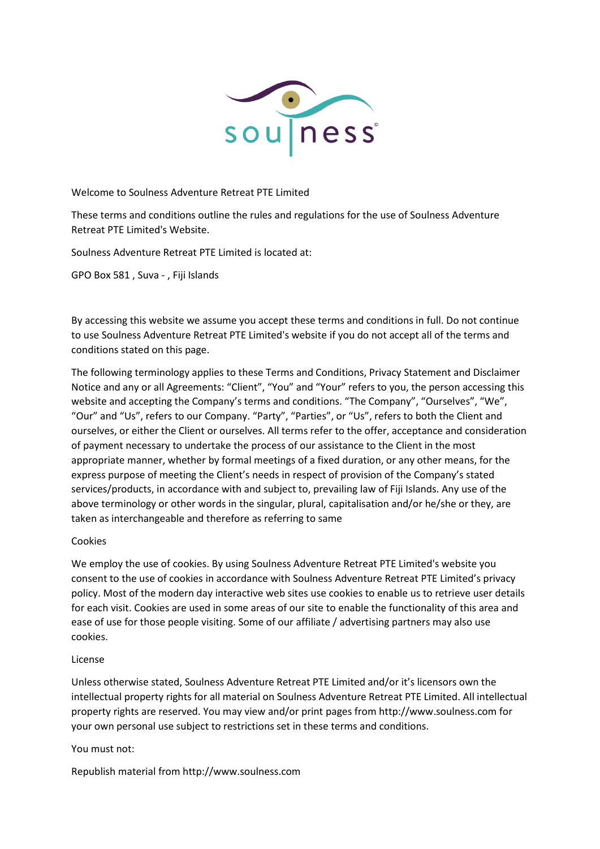

Welcome to Soulness Adventure Retreat PTE Limited

These terms and conditions outline the rules and regulations for the use of Soulness Adventure Retreat PTE Limited's Website.

Soulness Adventure Retreat PTE Limited is located at:

GPO Box 581 , Suva - , Fiji Islands

By accessing this website we assume you accept these terms and conditions in full. Do not continue to use Soulness Adventure Retreat PTE Limited's website if you do not accept all of the terms and conditions stated on this page.

The following terminology applies to these Terms and Conditions, Privacy Statement and Disclaimer Notice and any or all Agreements: "Client", "You" and "Your" refers to you, the person accessing this website and accepting the Company's terms and conditions. "The Company", "Ourselves", "We", "Our" and "Us", refers to our Company. "Party", "Parties", or "Us", refers to both the Client and ourselves, or either the Client or ourselves. All terms refer to the offer, acceptance and consideration of payment necessary to undertake the process of our assistance to the Client in the most appropriate manner, whether by formal meetings of a fixed duration, or any other means, for the express purpose of meeting the Client's needs in respect of provision of the Company's stated services/products, in accordance with and subject to, prevailing law of Fiji Islands. Any use of the above terminology or other words in the singular, plural, capitalisation and/or he/she or they, are taken as interchangeable and therefore as referring to same

## Cookies

We employ the use of cookies. By using Soulness Adventure Retreat PTE Limited's website you consent to the use of cookies in accordance with Soulness Adventure Retreat PTE Limited's privacy policy. Most of the modern day interactive web sites use cookies to enable us to retrieve user details for each visit. Cookies are used in some areas of our site to enable the functionality of this area and ease of use for those people visiting. Some of our affiliate / advertising partners may also use cookies.

## License

Unless otherwise stated, Soulness Adventure Retreat PTE Limited and/or it's licensors own the intellectual property rights for all material on Soulness Adventure Retreat PTE Limited. All intellectual property rights are reserved. You may view and/or print pages from http://www.soulness.com for your own personal use subject to restrictions set in these terms and conditions.

## You must not:

Republish material from http://www.soulness.com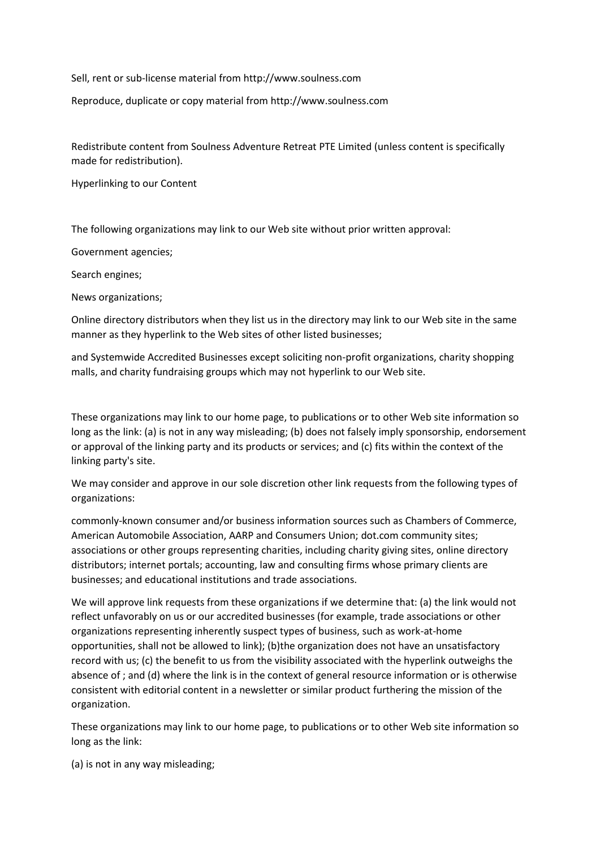Sell, rent or sub-license material from http://www.soulness.com

Reproduce, duplicate or copy material from http://www.soulness.com

Redistribute content from Soulness Adventure Retreat PTE Limited (unless content is specifically made for redistribution).

Hyperlinking to our Content

The following organizations may link to our Web site without prior written approval:

Government agencies;

Search engines;

News organizations;

Online directory distributors when they list us in the directory may link to our Web site in the same manner as they hyperlink to the Web sites of other listed businesses;

and Systemwide Accredited Businesses except soliciting non-profit organizations, charity shopping malls, and charity fundraising groups which may not hyperlink to our Web site.

These organizations may link to our home page, to publications or to other Web site information so long as the link: (a) is not in any way misleading; (b) does not falsely imply sponsorship, endorsement or approval of the linking party and its products or services; and (c) fits within the context of the linking party's site.

We may consider and approve in our sole discretion other link requests from the following types of organizations:

commonly-known consumer and/or business information sources such as Chambers of Commerce, American Automobile Association, AARP and Consumers Union; dot.com community sites; associations or other groups representing charities, including charity giving sites, online directory distributors; internet portals; accounting, law and consulting firms whose primary clients are businesses; and educational institutions and trade associations.

We will approve link requests from these organizations if we determine that: (a) the link would not reflect unfavorably on us or our accredited businesses (for example, trade associations or other organizations representing inherently suspect types of business, such as work-at-home opportunities, shall not be allowed to link); (b)the organization does not have an unsatisfactory record with us; (c) the benefit to us from the visibility associated with the hyperlink outweighs the absence of ; and (d) where the link is in the context of general resource information or is otherwise consistent with editorial content in a newsletter or similar product furthering the mission of the organization.

These organizations may link to our home page, to publications or to other Web site information so long as the link:

(a) is not in any way misleading;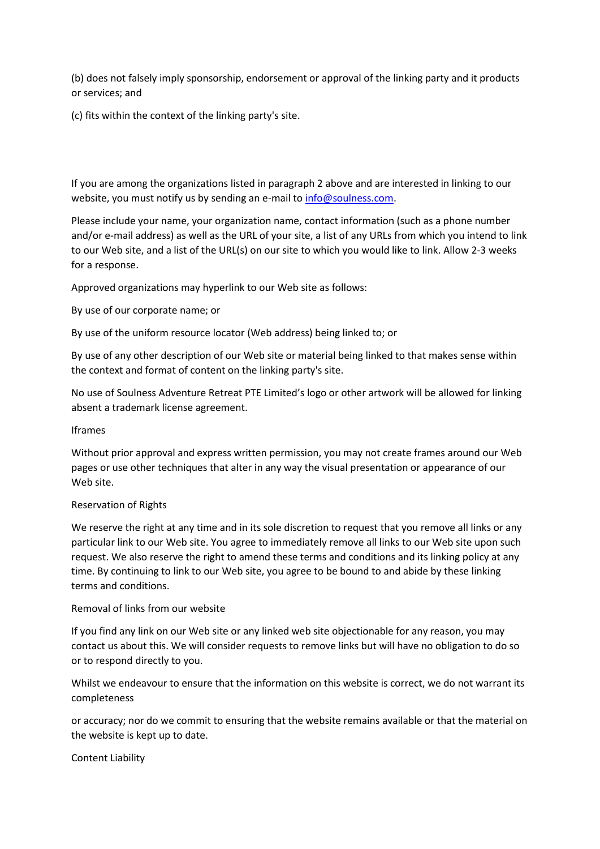(b) does not falsely imply sponsorship, endorsement or approval of the linking party and it products or services; and

(c) fits within the context of the linking party's site.

If you are among the organizations listed in paragraph 2 above and are interested in linking to our website, you must notify us by sending an e-mail to [info@soulness.com.](mailto:info@soulness.com)

Please include your name, your organization name, contact information (such as a phone number and/or e-mail address) as well as the URL of your site, a list of any URLs from which you intend to link to our Web site, and a list of the URL(s) on our site to which you would like to link. Allow 2-3 weeks for a response.

Approved organizations may hyperlink to our Web site as follows:

By use of our corporate name; or

By use of the uniform resource locator (Web address) being linked to; or

By use of any other description of our Web site or material being linked to that makes sense within the context and format of content on the linking party's site.

No use of Soulness Adventure Retreat PTE Limited's logo or other artwork will be allowed for linking absent a trademark license agreement.

#### Iframes

Without prior approval and express written permission, you may not create frames around our Web pages or use other techniques that alter in any way the visual presentation or appearance of our Web site.

#### Reservation of Rights

We reserve the right at any time and in its sole discretion to request that you remove all links or any particular link to our Web site. You agree to immediately remove all links to our Web site upon such request. We also reserve the right to amend these terms and conditions and its linking policy at any time. By continuing to link to our Web site, you agree to be bound to and abide by these linking terms and conditions.

## Removal of links from our website

If you find any link on our Web site or any linked web site objectionable for any reason, you may contact us about this. We will consider requests to remove links but will have no obligation to do so or to respond directly to you.

Whilst we endeavour to ensure that the information on this website is correct, we do not warrant its completeness

or accuracy; nor do we commit to ensuring that the website remains available or that the material on the website is kept up to date.

## Content Liability